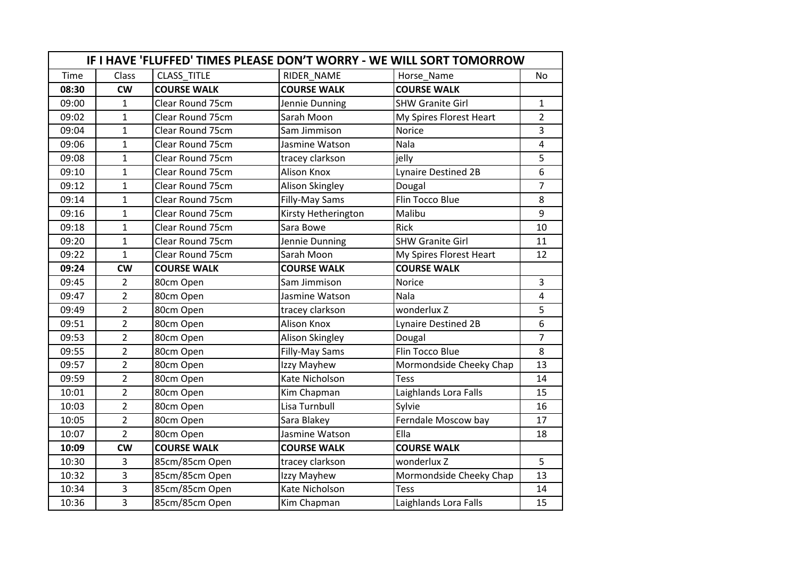|       | IF I HAVE 'FLUFFED' TIMES PLEASE DON'T WORRY - WE WILL SORT TOMORROW |                         |                     |                            |                         |  |
|-------|----------------------------------------------------------------------|-------------------------|---------------------|----------------------------|-------------------------|--|
| Time  | Class                                                                | <b>CLASS TITLE</b>      | RIDER NAME          | Horse_Name                 | <b>No</b>               |  |
| 08:30 | <b>CW</b>                                                            | <b>COURSE WALK</b>      | <b>COURSE WALK</b>  | <b>COURSE WALK</b>         |                         |  |
| 09:00 | $\mathbf{1}$                                                         | Clear Round 75cm        | Jennie Dunning      | <b>SHW Granite Girl</b>    | $\mathbf{1}$            |  |
| 09:02 | $\mathbf{1}$                                                         | Clear Round 75cm        | Sarah Moon          | My Spires Florest Heart    | $\overline{2}$          |  |
| 09:04 | $\mathbf{1}$                                                         | <b>Clear Round 75cm</b> | Sam Jimmison        | Norice                     | $\overline{3}$          |  |
| 09:06 | 1                                                                    | Clear Round 75cm        | Jasmine Watson      | Nala                       | $\overline{\mathbf{4}}$ |  |
| 09:08 | $\mathbf{1}$                                                         | Clear Round 75cm        | tracey clarkson     | jelly                      | 5                       |  |
| 09:10 | $\mathbf{1}$                                                         | Clear Round 75cm        | Alison Knox         | <b>Lynaire Destined 2B</b> | 6                       |  |
| 09:12 | $\mathbf{1}$                                                         | Clear Round 75cm        | Alison Skingley     | Dougal                     | $\overline{7}$          |  |
| 09:14 | $\mathbf{1}$                                                         | Clear Round 75cm        | Filly-May Sams      | Flin Tocco Blue            | 8                       |  |
| 09:16 | 1                                                                    | Clear Round 75cm        | Kirsty Hetherington | Malibu                     | 9                       |  |
| 09:18 | 1                                                                    | Clear Round 75cm        | Sara Bowe           | <b>Rick</b>                | 10                      |  |
| 09:20 | $\mathbf{1}$                                                         | <b>Clear Round 75cm</b> | Jennie Dunning      | <b>SHW Granite Girl</b>    | 11                      |  |
| 09:22 | $\mathbf{1}$                                                         | Clear Round 75cm        | Sarah Moon          | My Spires Florest Heart    | 12                      |  |
| 09:24 | <b>CW</b>                                                            | <b>COURSE WALK</b>      | <b>COURSE WALK</b>  | <b>COURSE WALK</b>         |                         |  |
| 09:45 | $\overline{2}$                                                       | 80cm Open               | Sam Jimmison        | Norice                     | 3                       |  |
| 09:47 | $\overline{2}$                                                       | 80cm Open               | Jasmine Watson      | Nala                       | 4                       |  |
| 09:49 | $\overline{2}$                                                       | 80cm Open               | tracey clarkson     | wonderlux Z                | 5                       |  |
| 09:51 | $\overline{2}$                                                       | 80cm Open               | <b>Alison Knox</b>  | Lynaire Destined 2B        | 6                       |  |
| 09:53 | $\overline{2}$                                                       | 80cm Open               | Alison Skingley     | Dougal                     | $\overline{7}$          |  |
| 09:55 | $\overline{2}$                                                       | 80cm Open               | Filly-May Sams      | Flin Tocco Blue            | 8                       |  |
| 09:57 | $\overline{2}$                                                       | 80cm Open               | Izzy Mayhew         | Mormondside Cheeky Chap    | 13                      |  |
| 09:59 | $\overline{2}$                                                       | 80cm Open               | Kate Nicholson      | <b>Tess</b>                | 14                      |  |
| 10:01 | $\overline{2}$                                                       | 80cm Open               | Kim Chapman         | Laighlands Lora Falls      | 15                      |  |
| 10:03 | $\overline{2}$                                                       | 80cm Open               | Lisa Turnbull       | Sylvie                     | 16                      |  |
| 10:05 | $\overline{2}$                                                       | 80cm Open               | Sara Blakey         | Ferndale Moscow bay        | 17                      |  |
| 10:07 | $\overline{2}$                                                       | 80cm Open               | Jasmine Watson      | Ella                       | 18                      |  |
| 10:09 | <b>CW</b>                                                            | <b>COURSE WALK</b>      | <b>COURSE WALK</b>  | <b>COURSE WALK</b>         |                         |  |
| 10:30 | $\overline{3}$                                                       | 85cm/85cm Open          | tracey clarkson     | wonderlux Z                | 5                       |  |
| 10:32 | $\overline{3}$                                                       | 85cm/85cm Open          | Izzy Mayhew         | Mormondside Cheeky Chap    | 13                      |  |
| 10:34 | $\overline{3}$                                                       | 85cm/85cm Open          | Kate Nicholson      | <b>Tess</b>                | 14                      |  |
| 10:36 | $\overline{3}$                                                       | 85cm/85cm Open          | Kim Chapman         | Laighlands Lora Falls      | 15                      |  |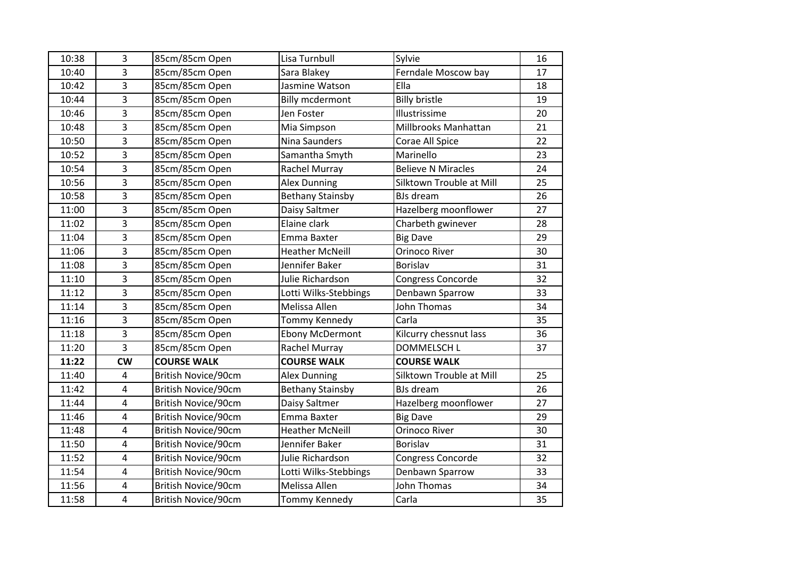| 10:38 | 3              | 85cm/85cm Open             | Lisa Turnbull           | Sylvie                    | 16 |
|-------|----------------|----------------------------|-------------------------|---------------------------|----|
| 10:40 | 3              | 85cm/85cm Open             | Sara Blakey             | Ferndale Moscow bay       | 17 |
| 10:42 | 3              | 85cm/85cm Open             | Jasmine Watson          | Ella                      | 18 |
| 10:44 | 3              | 85cm/85cm Open             | <b>Billy mcdermont</b>  | <b>Billy bristle</b>      | 19 |
| 10:46 | 3              | 85cm/85cm Open             | Jen Foster              | Illustrissime             | 20 |
| 10:48 | 3              | 85cm/85cm Open             | Mia Simpson             | Millbrooks Manhattan      | 21 |
| 10:50 | 3              | 85cm/85cm Open             | Nina Saunders           | Corae All Spice           | 22 |
| 10:52 | 3              | 85cm/85cm Open             | Samantha Smyth          | Marinello                 | 23 |
| 10:54 | 3              | 85cm/85cm Open             | Rachel Murray           | <b>Believe N Miracles</b> | 24 |
| 10:56 | 3              | 85cm/85cm Open             | <b>Alex Dunning</b>     | Silktown Trouble at Mill  | 25 |
| 10:58 | 3              | 85cm/85cm Open             | <b>Bethany Stainsby</b> | <b>BJs</b> dream          | 26 |
| 11:00 | $\overline{3}$ | 85cm/85cm Open             | Daisy Saltmer           | Hazelberg moonflower      | 27 |
| 11:02 | 3              | 85cm/85cm Open             | Elaine clark            | Charbeth gwinever         | 28 |
| 11:04 | 3              | 85cm/85cm Open             | Emma Baxter             | <b>Big Dave</b>           | 29 |
| 11:06 | 3              | 85cm/85cm Open             | <b>Heather McNeill</b>  | <b>Orinoco River</b>      | 30 |
| 11:08 | $\overline{3}$ | 85cm/85cm Open             | Jennifer Baker          | <b>Borislav</b>           | 31 |
| 11:10 | 3              | 85cm/85cm Open             | Julie Richardson        | Congress Concorde         | 32 |
| 11:12 | 3              | 85cm/85cm Open             | Lotti Wilks-Stebbings   | Denbawn Sparrow           | 33 |
| 11:14 | 3              | 85cm/85cm Open             | Melissa Allen           | <b>John Thomas</b>        | 34 |
| 11:16 | $\overline{3}$ | 85cm/85cm Open             | Tommy Kennedy           | Carla                     | 35 |
| 11:18 | 3              | 85cm/85cm Open             | <b>Ebony McDermont</b>  | Kilcurry chessnut lass    | 36 |
| 11:20 | 3              | 85cm/85cm Open             | Rachel Murray           | <b>DOMMELSCH L</b>        | 37 |
| 11:22 | <b>CW</b>      | <b>COURSE WALK</b>         | <b>COURSE WALK</b>      | <b>COURSE WALK</b>        |    |
| 11:40 | 4              | British Novice/90cm        | <b>Alex Dunning</b>     | Silktown Trouble at Mill  | 25 |
| 11:42 | $\overline{4}$ | British Novice/90cm        | <b>Bethany Stainsby</b> | <b>BJs dream</b>          | 26 |
| 11:44 | $\pmb{4}$      | <b>British Novice/90cm</b> | Daisy Saltmer           | Hazelberg moonflower      | 27 |
| 11:46 | $\overline{4}$ | <b>British Novice/90cm</b> | Emma Baxter             | <b>Big Dave</b>           | 29 |
| 11:48 | 4              | <b>British Novice/90cm</b> | <b>Heather McNeill</b>  | <b>Orinoco River</b>      | 30 |
| 11:50 | $\overline{4}$ | British Novice/90cm        | Jennifer Baker          | <b>Borislav</b>           | 31 |
| 11:52 | $\overline{4}$ | British Novice/90cm        | Julie Richardson        | Congress Concorde         | 32 |
| 11:54 | $\pmb{4}$      | British Novice/90cm        | Lotti Wilks-Stebbings   | Denbawn Sparrow           | 33 |
| 11:56 | $\overline{4}$ | <b>British Novice/90cm</b> | Melissa Allen           | John Thomas               | 34 |
| 11:58 | 4              | British Novice/90cm        | Tommy Kennedy           | Carla                     | 35 |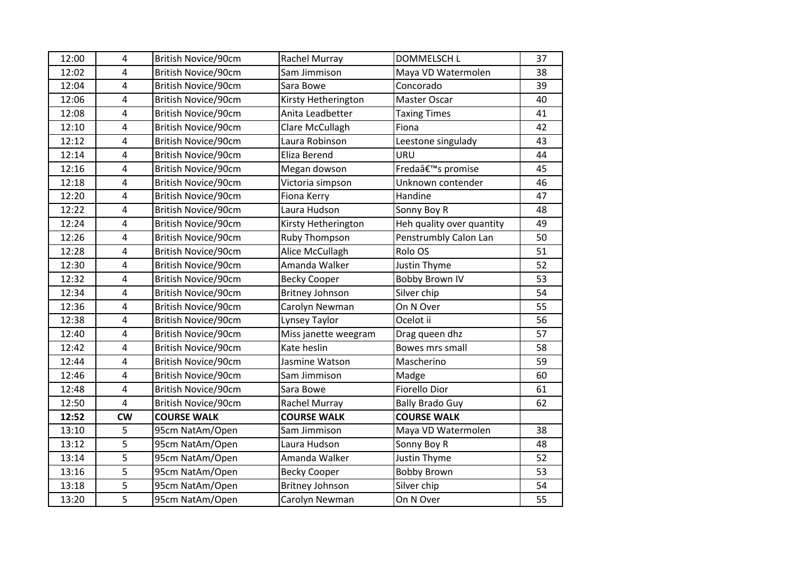| 12:00 | $\overline{4}$          | <b>British Novice/90cm</b> | Rachel Murray          | <b>DOMMELSCH L</b>             | 37 |
|-------|-------------------------|----------------------------|------------------------|--------------------------------|----|
| 12:02 | $\overline{4}$          | British Novice/90cm        | Sam Jimmison           | Maya VD Watermolen             | 38 |
| 12:04 | $\overline{\mathbf{4}}$ | British Novice/90cm        | Sara Bowe              | Concorado                      | 39 |
| 12:06 | $\overline{\mathbf{4}}$ | British Novice/90cm        | Kirsty Hetherington    | Master Oscar                   | 40 |
| 12:08 | $\overline{4}$          | <b>British Novice/90cm</b> | Anita Leadbetter       | <b>Taxing Times</b>            | 41 |
| 12:10 | 4                       | <b>British Novice/90cm</b> | Clare McCullagh        | Fiona                          | 42 |
| 12:12 | $\overline{4}$          | British Novice/90cm        | Laura Robinson         | Leestone singulady             | 43 |
| 12:14 | $\overline{\mathbf{4}}$ | <b>British Novice/90cm</b> | Eliza Berend           | URU                            | 44 |
| 12:16 | $\overline{4}$          | <b>British Novice/90cm</b> | Megan dowson           | Fredaâ€ <sup>™</sup> s promise | 45 |
| 12:18 | 4                       | <b>British Novice/90cm</b> | Victoria simpson       | Unknown contender              | 46 |
| 12:20 | $\overline{\mathbf{4}}$ | <b>British Novice/90cm</b> | Fiona Kerry            | Handine                        | 47 |
| 12:22 | 4                       | British Novice/90cm        | Laura Hudson           | Sonny Boy R                    | 48 |
| 12:24 | $\overline{\mathbf{4}}$ | British Novice/90cm        | Kirsty Hetherington    | Heh quality over quantity      | 49 |
| 12:26 | 4                       | <b>British Novice/90cm</b> | Ruby Thompson          | Penstrumbly Calon Lan          | 50 |
| 12:28 | $\overline{\mathbf{4}}$ | British Novice/90cm        | Alice McCullagh        | Rolo OS                        | 51 |
| 12:30 | 4                       | <b>British Novice/90cm</b> | Amanda Walker          | <b>Justin Thyme</b>            | 52 |
| 12:32 | $\overline{\mathbf{4}}$ | <b>British Novice/90cm</b> | <b>Becky Cooper</b>    | <b>Bobby Brown IV</b>          | 53 |
| 12:34 | $\overline{4}$          | British Novice/90cm        | <b>Britney Johnson</b> | Silver chip                    | 54 |
| 12:36 | $\overline{4}$          | British Novice/90cm        | Carolyn Newman         | On N Over                      | 55 |
| 12:38 | 4                       | British Novice/90cm        | Lynsey Taylor          | Ocelot ii                      | 56 |
| 12:40 | $\overline{\mathbf{4}}$ | <b>British Novice/90cm</b> | Miss janette weegram   | Drag queen dhz                 | 57 |
| 12:42 | $\overline{\mathbf{4}}$ | British Novice/90cm        | Kate heslin            | Bowes mrs small                | 58 |
| 12:44 | $\overline{\mathbf{4}}$ | <b>British Novice/90cm</b> | Jasmine Watson         | Mascherino                     | 59 |
| 12:46 | $\overline{4}$          | British Novice/90cm        | Sam Jimmison           | Madge                          | 60 |
| 12:48 | $\overline{4}$          | <b>British Novice/90cm</b> | Sara Bowe              | Fiorello Dior                  | 61 |
| 12:50 | $\overline{\mathbf{4}}$ | British Novice/90cm        | Rachel Murray          | <b>Bally Brado Guy</b>         | 62 |
| 12:52 | <b>CW</b>               | <b>COURSE WALK</b>         | <b>COURSE WALK</b>     | <b>COURSE WALK</b>             |    |
| 13:10 | 5                       | 95cm NatAm/Open            | Sam Jimmison           | Maya VD Watermolen             | 38 |
| 13:12 | 5                       | 95cm NatAm/Open            | Laura Hudson           | Sonny Boy R                    | 48 |
| 13:14 | 5                       | 95cm NatAm/Open            | Amanda Walker          | Justin Thyme                   | 52 |
| 13:16 | 5                       | 95cm NatAm/Open            | <b>Becky Cooper</b>    | <b>Bobby Brown</b>             | 53 |
| 13:18 | 5                       | 95cm NatAm/Open            | <b>Britney Johnson</b> | Silver chip                    | 54 |
| 13:20 | 5                       | 95cm NatAm/Open            | Carolyn Newman         | On N Over                      | 55 |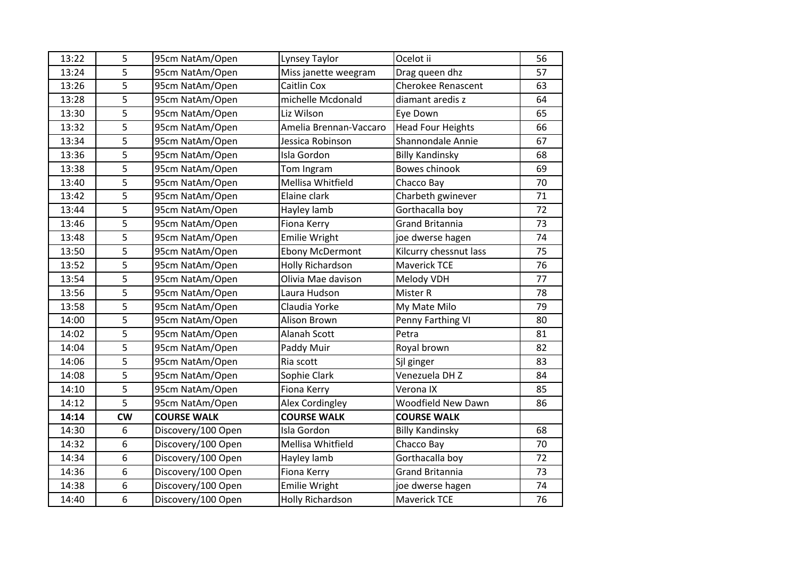| 13:22 | 5         | 95cm NatAm/Open    | Lynsey Taylor           | Ocelot ii                 | 56 |
|-------|-----------|--------------------|-------------------------|---------------------------|----|
| 13:24 | 5         | 95cm NatAm/Open    | Miss janette weegram    | Drag queen dhz            | 57 |
| 13:26 | 5         | 95cm NatAm/Open    | Caitlin Cox             | <b>Cherokee Renascent</b> | 63 |
| 13:28 | 5         | 95cm NatAm/Open    | michelle Mcdonald       | diamant aredis z          | 64 |
| 13:30 | 5         | 95cm NatAm/Open    | Liz Wilson              | Eye Down                  | 65 |
| 13:32 | 5         | 95cm NatAm/Open    | Amelia Brennan-Vaccaro  | <b>Head Four Heights</b>  | 66 |
| 13:34 | 5         | 95cm NatAm/Open    | Jessica Robinson        | Shannondale Annie         | 67 |
| 13:36 | 5         | 95cm NatAm/Open    | Isla Gordon             | <b>Billy Kandinsky</b>    | 68 |
| 13:38 | 5         | 95cm NatAm/Open    | Tom Ingram              | Bowes chinook             | 69 |
| 13:40 | 5         | 95cm NatAm/Open    | Mellisa Whitfield       | Chacco Bay                | 70 |
| 13:42 | 5         | 95cm NatAm/Open    | Elaine clark            | Charbeth gwinever         | 71 |
| 13:44 | 5         | 95cm NatAm/Open    | Hayley lamb             | Gorthacalla boy           | 72 |
| 13:46 | 5         | 95cm NatAm/Open    | Fiona Kerry             | <b>Grand Britannia</b>    | 73 |
| 13:48 | 5         | 95cm NatAm/Open    | <b>Emilie Wright</b>    | joe dwerse hagen          | 74 |
| 13:50 | 5         | 95cm NatAm/Open    | <b>Ebony McDermont</b>  | Kilcurry chessnut lass    | 75 |
| 13:52 | 5         | 95cm NatAm/Open    | <b>Holly Richardson</b> | Maverick TCE              | 76 |
| 13:54 | 5         | 95cm NatAm/Open    | Olivia Mae davison      | Melody VDH                | 77 |
| 13:56 | 5         | 95cm NatAm/Open    | Laura Hudson            | Mister R                  | 78 |
| 13:58 | 5         | 95cm NatAm/Open    | Claudia Yorke           | My Mate Milo              | 79 |
| 14:00 | 5         | 95cm NatAm/Open    | Alison Brown            | Penny Farthing VI         | 80 |
| 14:02 | 5         | 95cm NatAm/Open    | Alanah Scott            | Petra                     | 81 |
| 14:04 | 5         | 95cm NatAm/Open    | Paddy Muir              | Royal brown               | 82 |
| 14:06 | 5         | 95cm NatAm/Open    | Ria scott               | Sjl ginger                | 83 |
| 14:08 | 5         | 95cm NatAm/Open    | Sophie Clark            | Venezuela DH Z            | 84 |
| 14:10 | 5         | 95cm NatAm/Open    | Fiona Kerry             | Verona IX                 | 85 |
| 14:12 | 5         | 95cm NatAm/Open    | Alex Cordingley         | Woodfield New Dawn        | 86 |
| 14:14 | <b>CW</b> | <b>COURSE WALK</b> | <b>COURSE WALK</b>      | <b>COURSE WALK</b>        |    |
| 14:30 | 6         | Discovery/100 Open | Isla Gordon             | <b>Billy Kandinsky</b>    | 68 |
| 14:32 | 6         | Discovery/100 Open | Mellisa Whitfield       | Chacco Bay                | 70 |
| 14:34 | 6         | Discovery/100 Open | Hayley lamb             | Gorthacalla boy           | 72 |
| 14:36 | 6         | Discovery/100 Open | Fiona Kerry             | <b>Grand Britannia</b>    | 73 |
| 14:38 | 6         | Discovery/100 Open | Emilie Wright           | joe dwerse hagen          | 74 |
| 14:40 | 6         | Discovery/100 Open | <b>Holly Richardson</b> | Maverick TCE              | 76 |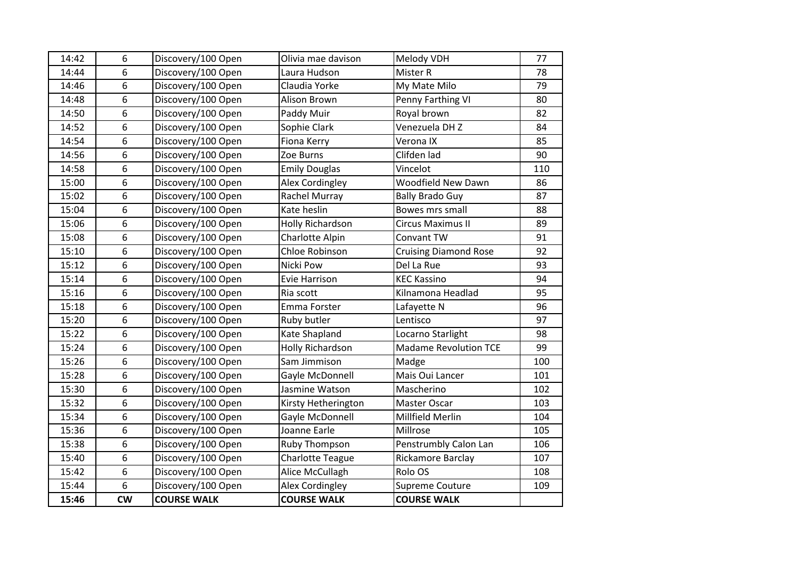| 14:42 | 6                | Discovery/100 Open | Olivia mae davison      | Melody VDH                   | 77  |
|-------|------------------|--------------------|-------------------------|------------------------------|-----|
| 14:44 | 6                | Discovery/100 Open | Laura Hudson            | Mister R                     | 78  |
| 14:46 | $\boldsymbol{6}$ | Discovery/100 Open | Claudia Yorke           | My Mate Milo                 | 79  |
| 14:48 | $\boldsymbol{6}$ | Discovery/100 Open | Alison Brown            | Penny Farthing VI            | 80  |
| 14:50 | 6                | Discovery/100 Open | Paddy Muir              | Royal brown                  | 82  |
| 14:52 | 6                | Discovery/100 Open | Sophie Clark            | Venezuela DH Z               | 84  |
| 14:54 | 6                | Discovery/100 Open | Fiona Kerry             | Verona IX                    | 85  |
| 14:56 | 6                | Discovery/100 Open | Zoe Burns               | Clifden lad                  | 90  |
| 14:58 | 6                | Discovery/100 Open | <b>Emily Douglas</b>    | Vincelot                     | 110 |
| 15:00 | 6                | Discovery/100 Open | Alex Cordingley         | <b>Woodfield New Dawn</b>    | 86  |
| 15:02 | 6                | Discovery/100 Open | Rachel Murray           | <b>Bally Brado Guy</b>       | 87  |
| 15:04 | $\boldsymbol{6}$ | Discovery/100 Open | Kate heslin             | Bowes mrs small              | 88  |
| 15:06 | $\boldsymbol{6}$ | Discovery/100 Open | Holly Richardson        | <b>Circus Maximus II</b>     | 89  |
| 15:08 | 6                | Discovery/100 Open | Charlotte Alpin         | Convant TW                   | 91  |
| 15:10 | $\boldsymbol{6}$ | Discovery/100 Open | Chloe Robinson          | <b>Cruising Diamond Rose</b> | 92  |
| 15:12 | 6                | Discovery/100 Open | Nicki Pow               | Del La Rue                   | 93  |
| 15:14 | 6                | Discovery/100 Open | <b>Evie Harrison</b>    | <b>KEC Kassino</b>           | 94  |
| 15:16 | 6                | Discovery/100 Open | Ria scott               | Kilnamona Headlad            | 95  |
| 15:18 | 6                | Discovery/100 Open | Emma Forster            | Lafayette N                  | 96  |
| 15:20 | 6                | Discovery/100 Open | Ruby butler             | Lentisco                     | 97  |
| 15:22 | $6\phantom{1}$   | Discovery/100 Open | Kate Shapland           | Locarno Starlight            | 98  |
| 15:24 | $\boldsymbol{6}$ | Discovery/100 Open | <b>Holly Richardson</b> | <b>Madame Revolution TCE</b> | 99  |
| 15:26 | 6                | Discovery/100 Open | Sam Jimmison            | Madge                        | 100 |
| 15:28 | $\boldsymbol{6}$ | Discovery/100 Open | Gayle McDonnell         | Mais Oui Lancer              | 101 |
| 15:30 | 6                | Discovery/100 Open | Jasmine Watson          | Mascherino                   | 102 |
| 15:32 | $\boldsymbol{6}$ | Discovery/100 Open | Kirsty Hetherington     | Master Oscar                 | 103 |
| 15:34 | 6                | Discovery/100 Open | Gayle McDonnell         | Millfield Merlin             | 104 |
| 15:36 | $\boldsymbol{6}$ | Discovery/100 Open | Joanne Earle            | Millrose                     | 105 |
| 15:38 | 6                | Discovery/100 Open | Ruby Thompson           | Penstrumbly Calon Lan        | 106 |
| 15:40 | 6                | Discovery/100 Open | <b>Charlotte Teague</b> | Rickamore Barclay            | 107 |
| 15:42 | 6                | Discovery/100 Open | Alice McCullagh         | Rolo OS                      | 108 |
| 15:44 | 6                | Discovery/100 Open | Alex Cordingley         | Supreme Couture              | 109 |
| 15:46 | cw               | <b>COURSE WALK</b> | <b>COURSE WALK</b>      | <b>COURSE WALK</b>           |     |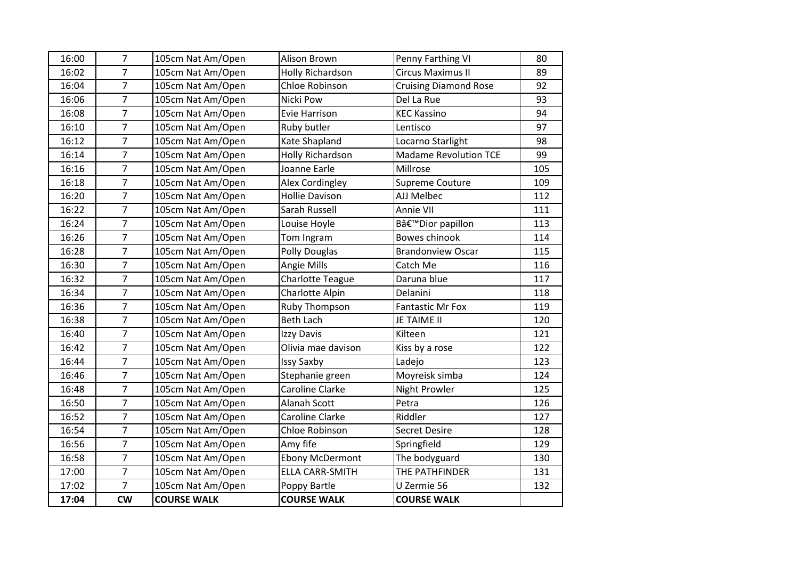| 16:00 | $\overline{7}$ | 105cm Nat Am/Open  | Alison Brown            | Penny Farthing VI            | 80  |
|-------|----------------|--------------------|-------------------------|------------------------------|-----|
| 16:02 | $\overline{7}$ | 105cm Nat Am/Open  | <b>Holly Richardson</b> | <b>Circus Maximus II</b>     | 89  |
| 16:04 | $\overline{7}$ | 105cm Nat Am/Open  | Chloe Robinson          | <b>Cruising Diamond Rose</b> | 92  |
| 16:06 | $\overline{7}$ | 105cm Nat Am/Open  | Nicki Pow               | Del La Rue                   | 93  |
| 16:08 | $\overline{7}$ | 105cm Nat Am/Open  | <b>Evie Harrison</b>    | <b>KEC Kassino</b>           | 94  |
| 16:10 | $\overline{7}$ | 105cm Nat Am/Open  | Ruby butler             | Lentisco                     | 97  |
| 16:12 | $\overline{7}$ | 105cm Nat Am/Open  | Kate Shapland           | Locarno Starlight            | 98  |
| 16:14 | $\overline{7}$ | 105cm Nat Am/Open  | Holly Richardson        | <b>Madame Revolution TCE</b> | 99  |
| 16:16 | $\overline{7}$ | 105cm Nat Am/Open  | Joanne Earle            | Millrose                     | 105 |
| 16:18 | $\overline{7}$ | 105cm Nat Am/Open  | Alex Cordingley         | Supreme Couture              | 109 |
| 16:20 | $\overline{7}$ | 105cm Nat Am/Open  | <b>Hollie Davison</b>   | AJJ Melbec                   | 112 |
| 16:22 | $\overline{7}$ | 105cm Nat Am/Open  | Sarah Russell           | Annie VII                    | 111 |
| 16:24 | $\overline{7}$ | 105cm Nat Am/Open  | Louise Hoyle            | B'Dior papillon              | 113 |
| 16:26 | $\overline{7}$ | 105cm Nat Am/Open  | Tom Ingram              | <b>Bowes chinook</b>         | 114 |
| 16:28 | $\overline{7}$ | 105cm Nat Am/Open  | Polly Douglas           | <b>Brandonview Oscar</b>     | 115 |
| 16:30 | $\overline{7}$ | 105cm Nat Am/Open  | Angie Mills             | Catch Me                     | 116 |
| 16:32 | $\overline{7}$ | 105cm Nat Am/Open  | <b>Charlotte Teague</b> | Daruna blue                  | 117 |
| 16:34 | $\overline{7}$ | 105cm Nat Am/Open  | Charlotte Alpin         | Delanini                     | 118 |
| 16:36 | $\overline{7}$ | 105cm Nat Am/Open  | Ruby Thompson           | <b>Fantastic Mr Fox</b>      | 119 |
| 16:38 | $\overline{7}$ | 105cm Nat Am/Open  | <b>Beth Lach</b>        | JE TAIME II                  | 120 |
| 16:40 | $\overline{7}$ | 105cm Nat Am/Open  | Izzy Davis              | Kilteen                      | 121 |
| 16:42 | $\overline{7}$ | 105cm Nat Am/Open  | Olivia mae davison      | Kiss by a rose               | 122 |
| 16:44 | $\overline{7}$ | 105cm Nat Am/Open  | <b>Issy Saxby</b>       | Ladejo                       | 123 |
| 16:46 | $\overline{7}$ | 105cm Nat Am/Open  | Stephanie green         | Moyreisk simba               | 124 |
| 16:48 | $\overline{7}$ | 105cm Nat Am/Open  | <b>Caroline Clarke</b>  | Night Prowler                | 125 |
| 16:50 | $\overline{7}$ | 105cm Nat Am/Open  | Alanah Scott            | Petra                        | 126 |
| 16:52 | $\overline{7}$ | 105cm Nat Am/Open  | Caroline Clarke         | Riddler                      | 127 |
| 16:54 | $\overline{7}$ | 105cm Nat Am/Open  | Chloe Robinson          | <b>Secret Desire</b>         | 128 |
| 16:56 | $\overline{7}$ | 105cm Nat Am/Open  | Amy fife                | Springfield                  | 129 |
| 16:58 | $\overline{7}$ | 105cm Nat Am/Open  | <b>Ebony McDermont</b>  | The bodyguard                | 130 |
| 17:00 | $\overline{7}$ | 105cm Nat Am/Open  | <b>ELLA CARR-SMITH</b>  | THE PATHFINDER               | 131 |
| 17:02 | $\overline{7}$ | 105cm Nat Am/Open  | Poppy Bartle            | U Zermie 56                  | 132 |
| 17:04 | <b>CW</b>      | <b>COURSE WALK</b> | <b>COURSE WALK</b>      | <b>COURSE WALK</b>           |     |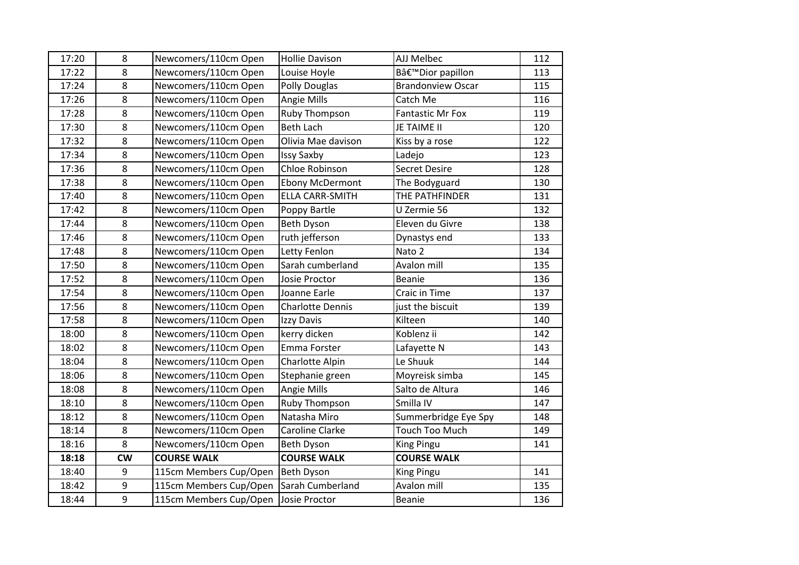| 17:20 | 8       | Newcomers/110cm Open                 | <b>Hollie Davison</b>   | AJJ Melbec               | 112 |
|-------|---------|--------------------------------------|-------------------------|--------------------------|-----|
| 17:22 | 8       | Newcomers/110cm Open                 | Louise Hoyle            | B'Dior papillon          | 113 |
| 17:24 | 8       | Newcomers/110cm Open                 | Polly Douglas           | <b>Brandonview Oscar</b> | 115 |
| 17:26 | 8       | Newcomers/110cm Open                 | Angie Mills             | Catch Me                 | 116 |
| 17:28 | 8       | Newcomers/110cm Open                 | Ruby Thompson           | <b>Fantastic Mr Fox</b>  | 119 |
| 17:30 | 8       | Newcomers/110cm Open                 | <b>Beth Lach</b>        | JE TAIME II              | 120 |
| 17:32 | 8       | Newcomers/110cm Open                 | Olivia Mae davison      | Kiss by a rose           | 122 |
| 17:34 | 8       | Newcomers/110cm Open                 | <b>Issy Saxby</b>       | Ladejo                   | 123 |
| 17:36 | 8       | Newcomers/110cm Open                 | Chloe Robinson          | <b>Secret Desire</b>     | 128 |
| 17:38 | 8       | Newcomers/110cm Open                 | <b>Ebony McDermont</b>  | The Bodyguard            | 130 |
| 17:40 | 8       | Newcomers/110cm Open                 | <b>ELLA CARR-SMITH</b>  | THE PATHFINDER           | 131 |
| 17:42 | 8       | Newcomers/110cm Open                 | Poppy Bartle            | U Zermie 56              | 132 |
| 17:44 | 8       | Newcomers/110cm Open                 | Beth Dyson              | Eleven du Givre          | 138 |
| 17:46 | 8       | Newcomers/110cm Open                 | ruth jefferson          | Dynastys end             | 133 |
| 17:48 | 8       | Newcomers/110cm Open                 | Letty Fenlon            | Nato 2                   | 134 |
| 17:50 | 8       | Newcomers/110cm Open                 | Sarah cumberland        | Avalon mill              | 135 |
| 17:52 | 8       | Newcomers/110cm Open                 | Josie Proctor           | Beanie                   | 136 |
| 17:54 | 8       | Newcomers/110cm Open                 | Joanne Earle            | Craic in Time            | 137 |
| 17:56 | $\bf 8$ | Newcomers/110cm Open                 | <b>Charlotte Dennis</b> | just the biscuit         | 139 |
| 17:58 | 8       | Newcomers/110cm Open                 | Izzy Davis              | Kilteen                  | 140 |
| 18:00 | 8       | Newcomers/110cm Open                 | kerry dicken            | Koblenz ii               | 142 |
| 18:02 | 8       | Newcomers/110cm Open                 | Emma Forster            | Lafayette N              | 143 |
| 18:04 | 8       | Newcomers/110cm Open                 | Charlotte Alpin         | Le Shuuk                 | 144 |
| 18:06 | 8       | Newcomers/110cm Open                 | Stephanie green         | Moyreisk simba           | 145 |
| 18:08 | 8       | Newcomers/110cm Open                 | Angie Mills             | Salto de Altura          | 146 |
| 18:10 | 8       | Newcomers/110cm Open                 | Ruby Thompson           | Smilla IV                | 147 |
| 18:12 | 8       | Newcomers/110cm Open                 | Natasha Miro            | Summerbridge Eye Spy     | 148 |
| 18:14 | 8       | Newcomers/110cm Open                 | Caroline Clarke         | Touch Too Much           | 149 |
| 18:16 | 8       | Newcomers/110cm Open                 | Beth Dyson              | King Pingu               | 141 |
| 18:18 | cw      | <b>COURSE WALK</b>                   | <b>COURSE WALK</b>      | <b>COURSE WALK</b>       |     |
| 18:40 | 9       | 115cm Members Cup/Open               | Beth Dyson              | King Pingu               | 141 |
| 18:42 | 9       | 115cm Members Cup/Open               | Sarah Cumberland        | Avalon mill              | 135 |
| 18:44 | 9       | 115cm Members Cup/Open Josie Proctor |                         | Beanie                   | 136 |